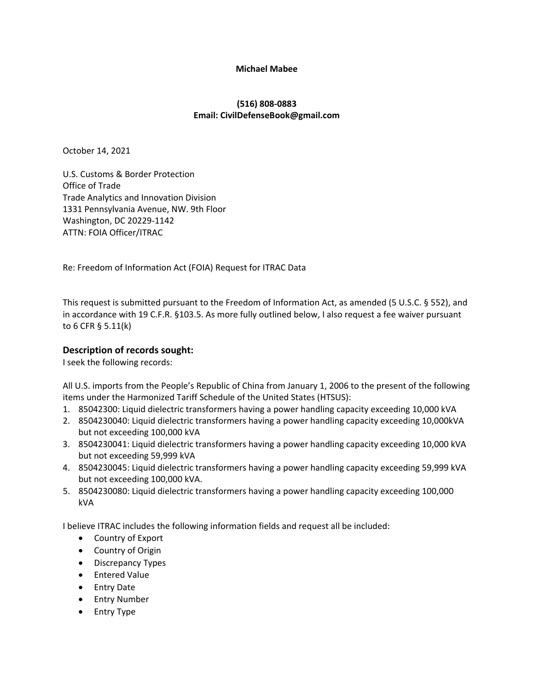### **Michael Mabee**

# **(516) 808‐0883 Email: CivilDefenseBook@gmail.com**

October 14, 2021

U.S. Customs & Border Protection Office of Trade Trade Analytics and Innovation Division 1331 Pennsylvania Avenue, NW. 9th Floor Washington, DC 20229‐1142 ATTN: FOIA Officer/ITRAC

Re: Freedom of Information Act (FOIA) Request for ITRAC Data

This request is submitted pursuant to the Freedom of Information Act, as amended (5 U.S.C. § 552), and in accordance with 19 C.F.R. §103.5. As more fully outlined below, I also request a fee waiver pursuant to 6 CFR § 5.11(k)

# **Description of records sought:**

I seek the following records:

All U.S. imports from the People's Republic of China from January 1, 2006 to the present of the following items under the Harmonized Tariff Schedule of the United States (HTSUS):

- 1. 85042300: Liquid dielectric transformers having a power handling capacity exceeding 10,000 kVA
- 2. 8504230040: Liquid dielectric transformers having a power handling capacity exceeding 10,000kVA but not exceeding 100,000 kVA
- 3. 8504230041: Liquid dielectric transformers having a power handling capacity exceeding 10,000 kVA but not exceeding 59,999 kVA
- 4. 8504230045: Liquid dielectric transformers having a power handling capacity exceeding 59,999 kVA but not exceeding 100,000 kVA.
- 5. 8504230080: Liquid dielectric transformers having a power handling capacity exceeding 100,000 kVA

I believe ITRAC includes the following information fields and request all be included:

- Country of Export
- Country of Origin
- Discrepancy Types
- Entered Value
- Entry Date
- Entry Number
- Entry Type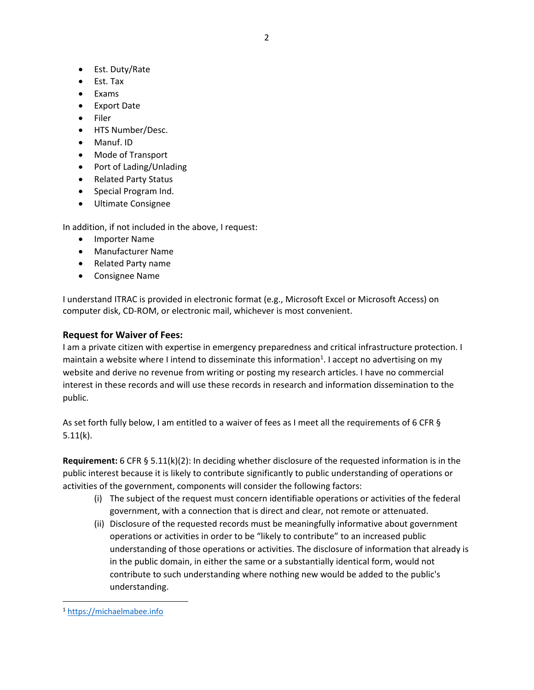- Est. Duty/Rate
- Est. Tax
- Exams
- Export Date
- Filer
- HTS Number/Desc.
- Manuf. ID
- Mode of Transport
- Port of Lading/Unlading
- Related Party Status
- Special Program Ind.
- Ultimate Consignee

In addition, if not included in the above, I request:

- **•** Importer Name
- Manufacturer Name
- Related Party name
- Consignee Name

I understand ITRAC is provided in electronic format (e.g., Microsoft Excel or Microsoft Access) on computer disk, CD‐ROM, or electronic mail, whichever is most convenient.

## **Request for Waiver of Fees:**

I am a private citizen with expertise in emergency preparedness and critical infrastructure protection. I maintain a website where I intend to disseminate this information<sup>1</sup>. I accept no advertising on my website and derive no revenue from writing or posting my research articles. I have no commercial interest in these records and will use these records in research and information dissemination to the public.

As set forth fully below, I am entitled to a waiver of fees as I meet all the requirements of 6 CFR § 5.11(k).

**Requirement:** 6 CFR § 5.11(k)(2): In deciding whether disclosure of the requested information is in the public interest because it is likely to contribute significantly to public understanding of operations or activities of the government, components will consider the following factors:

- (i) The subject of the request must concern identifiable operations or activities of the federal government, with a connection that is direct and clear, not remote or attenuated.
- (ii) Disclosure of the requested records must be meaningfully informative about government operations or activities in order to be "likely to contribute" to an increased public understanding of those operations or activities. The disclosure of information that already is in the public domain, in either the same or a substantially identical form, would not contribute to such understanding where nothing new would be added to the public's understanding.

<sup>1</sup> https://michaelmabee.info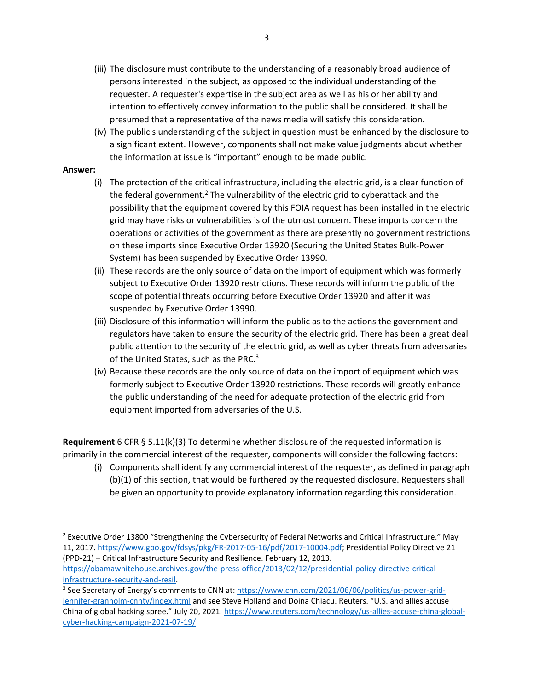- (iii) The disclosure must contribute to the understanding of a reasonably broad audience of persons interested in the subject, as opposed to the individual understanding of the requester. A requester's expertise in the subject area as well as his or her ability and intention to effectively convey information to the public shall be considered. It shall be presumed that a representative of the news media will satisfy this consideration.
- (iv) The public's understanding of the subject in question must be enhanced by the disclosure to a significant extent. However, components shall not make value judgments about whether the information at issue is "important" enough to be made public.

### **Answer:**

- (i) The protection of the critical infrastructure, including the electric grid, is a clear function of the federal government.<sup>2</sup> The vulnerability of the electric grid to cyberattack and the possibility that the equipment covered by this FOIA request has been installed in the electric grid may have risks or vulnerabilities is of the utmost concern. These imports concern the operations or activities of the government as there are presently no government restrictions on these imports since Executive Order 13920 (Securing the United States Bulk‐Power System) has been suspended by Executive Order 13990.
- (ii) These records are the only source of data on the import of equipment which was formerly subject to Executive Order 13920 restrictions. These records will inform the public of the scope of potential threats occurring before Executive Order 13920 and after it was suspended by Executive Order 13990.
- (iii) Disclosure of this information will inform the public as to the actions the government and regulators have taken to ensure the security of the electric grid. There has been a great deal public attention to the security of the electric grid, as well as cyber threats from adversaries of the United States, such as the PRC.<sup>3</sup>
- (iv) Because these records are the only source of data on the import of equipment which was formerly subject to Executive Order 13920 restrictions. These records will greatly enhance the public understanding of the need for adequate protection of the electric grid from equipment imported from adversaries of the U.S.

**Requirement** 6 CFR § 5.11(k)(3) To determine whether disclosure of the requested information is primarily in the commercial interest of the requester, components will consider the following factors:

(i) Components shall identify any commercial interest of the requester, as defined in paragraph (b)(1) of this section, that would be furthered by the requested disclosure. Requesters shall be given an opportunity to provide explanatory information regarding this consideration.

<sup>2</sup> Executive Order 13800 "Strengthening the Cybersecurity of Federal Networks and Critical Infrastructure." May 11, 2017. https://www.gpo.gov/fdsys/pkg/FR‐2017‐05‐16/pdf/2017‐10004.pdf; Presidential Policy Directive 21 (PPD‐21) – Critical Infrastructure Security and Resilience. February 12, 2013. https://obamawhitehouse.archives.gov/the-press-office/2013/02/12/presidential-policy-directive-critical-

infrastructure‐security‐and‐resil.

<sup>&</sup>lt;sup>3</sup> See Secretary of Energy's comments to CNN at: https://www.cnn.com/2021/06/06/politics/us-power-gridjennifer-granholm-cnntv/index.html and see Steve Holland and Doina Chiacu. Reuters. "U.S. and allies accuse China of global hacking spree." July 20, 2021. https://www.reuters.com/technology/us-allies-accuse-china-globalcyber‐hacking‐campaign‐2021‐07‐19/